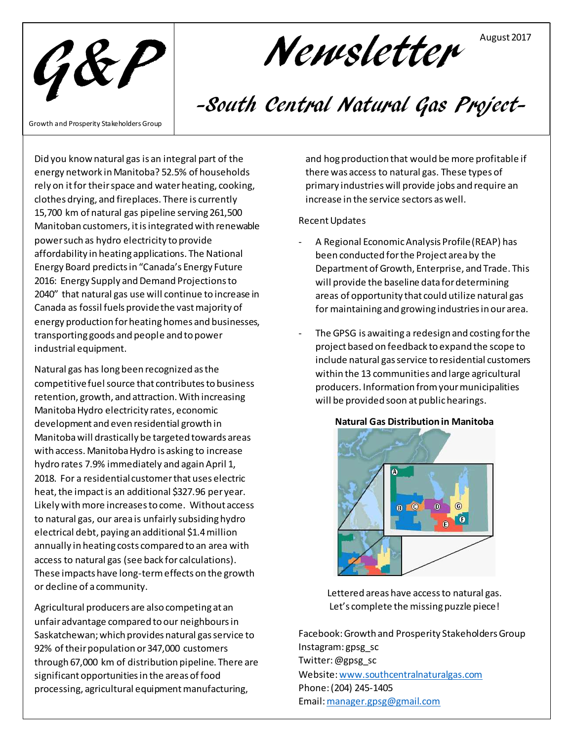

Newsletter

## -South Central Natural Gas Project-

Growth and Prosperity Stakeholders Group

Did you know natural gas is an integral part of the energy network in Manitoba? 52.5% of households rely on it for their space and water heating, cooking, clothes drying, and fireplaces. There is currently 15,700 km of natural gas pipeline serving 261,500 Manitoban customers, it is integrated with renewable power such as hydro electricity to provide affordability in heating applications. The National Energy Board predicts in "Canada's Energy Future 2016: Energy Supply and Demand Projections to 2040" that natural gas use will continue to increase in Canada as fossil fuels provide the vast majority of energy production for heating homes and businesses, transporting goods and people and to power industrial equipment.

Natural gas has long been recognized as the competitive fuel source that contributes to business retention, growth, and attraction. With increasing Manitoba Hydro electricity rates, economic development and even residential growth in Manitoba will drastically be targeted towards areas with access. Manitoba Hydro is asking to increase hydro rates 7.9% immediately and again April 1, 2018. For a residential customer that uses electric heat, the impact is an additional \$327.96 per year. Likely with more increases to come. Without access to natural gas, our area is unfairly subsiding hydro electrical debt, paying an additional \$1.4million annually in heating costs compared to an area with access to natural gas (see back for calculations). These impacts have long-term effects on the growth or decline of a community.

Agricultural producers are also competing at an unfair advantage compared to our neighbours in Saskatchewan; which provides natural gas service to 92% of their population or 347,000 customers through 67,000 km of distribution pipeline. There are significant opportunities in the areas of food processing, agricultural equipment manufacturing,

and hog production that would be more profitable if there was access to natural gas. These types of primary industries will provide jobs and require an increase in the service sectors as well.

August 2017

## Recent Updates

- A Regional Economic Analysis Profile (REAP) has been conducted for the Project area by the Department of Growth, Enterprise, and Trade. This will provide the baseline data for determining areas of opportunity that could utilize natural gas for maintaining and growing industries in our area.
- The GPSG is awaiting a redesign and costing for the project based on feedback to expand the scope to include natural gas service to residential customers within the 13 communities and large agricultural producers. Information from your municipalities will be provided soon at public hearings.



**Natural Gas Distribution in Manitoba**

Lettered areas have access to natural gas. Let's complete the missing puzzle piece!

Facebook: Growth and Prosperity Stakeholders Group Instagram: gpsg\_sc Twitter: @gpsg\_sc Website[: www.southcentralnaturalgas.com](http://www.southcentralnaturalgas.com/) Phone: (204) 245-1405 Email[: manager.gpsg@gmail.com](mailto:manager.gpsg@gmail.com)